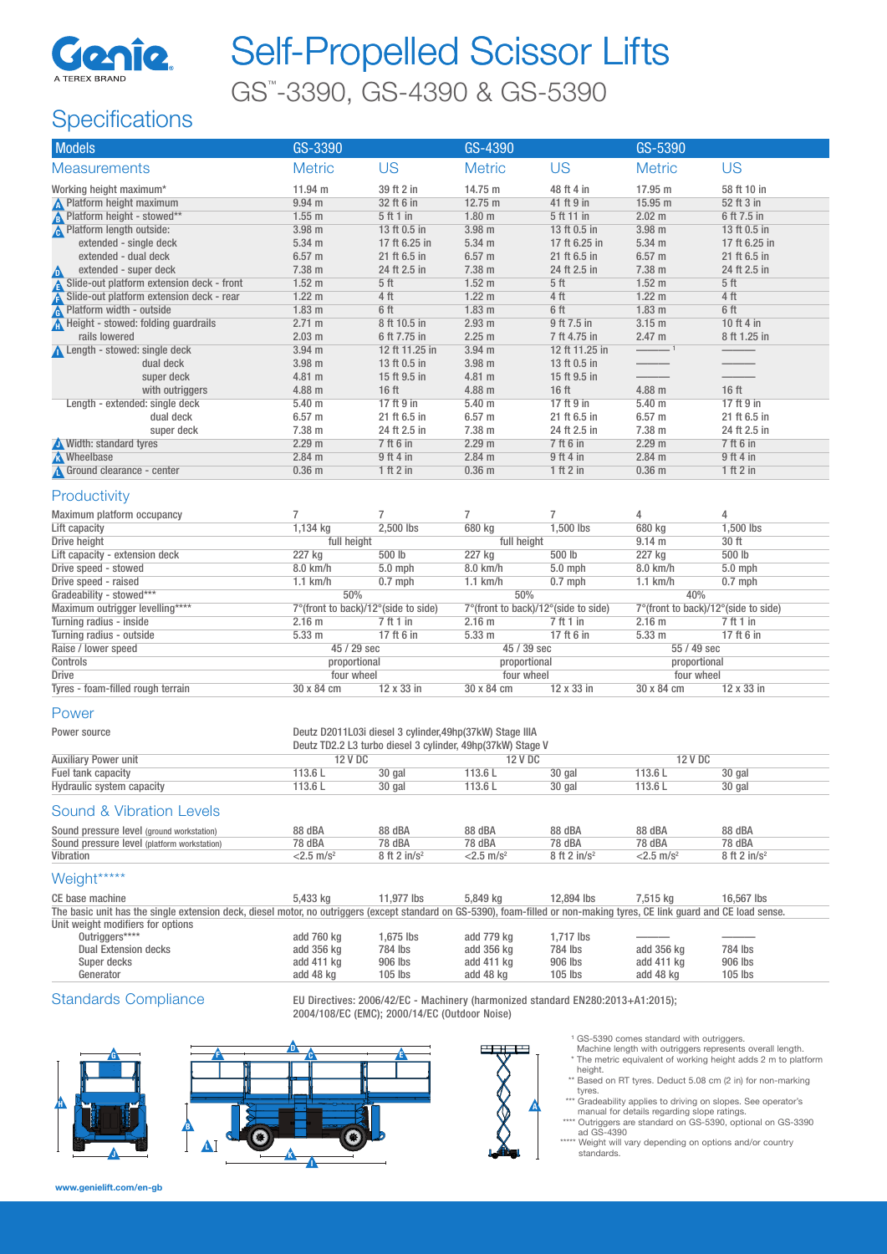

# Self-Propelled Scissor Lifts

GS™ -3390, GS-4390 & GS-5390

## **Specifications**

| <b>US</b><br><b>US</b><br><b>Metric</b><br><b>Metric</b><br><b>Metric</b><br><b>US</b><br><b>Measurements</b><br>11.94 m<br>14.75 m<br>48 ft 4 in<br>17.95 m<br>Working height maximum*<br>39 ft 2 in<br>58 ft 10 in<br>$12.75 \text{ m}$<br>41 ft 9 in<br>15.95 m<br><b>A</b> Platform height maximum<br>$9.94$ m<br>32 ft 6 in<br>52 ft 3 in<br><b>A</b> Platform height - stowed**<br><b>A</b> Platform length outside:<br>$1.55$ m<br>5 ft 1 in<br>1.80 <sub>m</sub><br>5 ft 11 in<br>$2.02 \text{ m}$<br>6 ft 7.5 in<br>3.98 m<br>3.98 m<br>13 ft 0.5 in<br>3.98 m<br>13 ft 0.5 in<br>13 ft 0.5 in<br>extended - single deck<br>5.34 m<br>17 ft 6.25 in<br>5.34 m<br>17 ft 6.25 in<br>5.34 <sub>m</sub><br>17 ft 6.25 in<br>extended - dual deck<br>$6.57$ m<br>21 ft 6.5 in<br>$6.57$ m<br>21 ft 6.5 in<br>$6.57$ m<br>21 ft 6.5 in<br>extended - super deck<br>7.38 m<br>24 ft 2.5 in<br>7.38 m<br>24 ft 2.5 in<br>7.38 m<br>24 ft 2.5 in<br>◬<br>Slide-out platform extension deck - front<br>1.52 <sub>m</sub><br>1.52 <sub>m</sub><br>5 <sub>ft</sub><br>1.52 <sub>m</sub><br>5 <sub>ft</sub><br>5 <sub>ft</sub><br>Slide-out platform extension deck - rear<br>4 ft<br>$1.22 \text{ m}$<br>4 ft<br>$1.22 \text{ m}$<br>4 ft<br>1.22 <sub>m</sub><br>Platform width - outside<br>6 ft<br>1.83 m<br>6 ft<br>1.83 <sub>m</sub><br>6 ft<br>1.83 <sub>m</sub><br>Height - stowed: folding guardrails<br>3.15 m<br>10 ft 4 in<br>2.71 m<br>8 ft 10.5 in<br>2.93 <sub>m</sub><br>9 ft 7.5 in<br>rails lowered<br>2.47 m<br>2.03 <sub>m</sub><br>6 ft 7.75 in<br>2.25 m<br>7 ft 4.75 in<br>8 ft 1.25 in<br>Length - stowed: single deck<br>3.94 <sub>m</sub><br>12 ft 11.25 in<br>3.94 <sub>m</sub><br>12 ft 11.25 in<br>dual deck<br>3.98 m<br>3.98 m<br>13 ft 0.5 in<br>13 ft 0.5 in<br>super deck<br>4.81 m<br>15 ft 9.5 in<br>4.81 m<br>15 ft 9.5 in<br>4.88 m<br>16 ft<br>4.88 m<br>16 <sub>ft</sub><br>4.88 m<br>16 ft<br>with outriggers<br>17 ft 9 in<br>5.40 <sub>m</sub><br>17 ft 9 in<br>Length - extended: single deck<br>5.40 <sub>m</sub><br>17 ft 9 in<br>5.40 <sub>m</sub><br>dual deck<br>$6.57$ m<br>$6.57$ m<br>21 ft 6.5 in<br>$6.57$ m<br>21 ft 6.5 in<br>21 ft 6.5 in<br>7.38 m<br>7.38 m<br>24 ft 2.5 in<br>7.38 m<br>super deck<br>24 ft 2.5 in<br>24 ft 2.5 in<br>7 ft 6 in<br>Width: standard tyres<br>2.29 m<br>7 ft 6 in<br>2.29 m<br>2.29 m<br>7 ft 6 in<br><b>N</b> Wheelbase<br>$2.84$ m<br>$2.84$ m<br>9 ft 4 in<br>$2.84$ m<br>9 ft 4 in<br>9 ft 4 in<br>Ground clearance - center<br>$0.36$ m<br>1 ft 2 in<br>0.36 <sub>m</sub><br>1 ft 2 in<br>0.36 <sub>m</sub><br>1 ft 2 in<br>Productivity<br>4<br>Maximum platform occupancy<br>7<br>7<br>7<br>7<br>4<br>1,500 lbs<br>680 kg<br>1,500 lbs<br>1,134 kg<br>2,500 lbs<br>680 kg<br>Lift capacity<br>Drive height<br>full height<br>full height<br>9.14 m<br>30 ft<br>500 lb<br>227 kg<br>500 lb<br>500 lb<br>Lift capacity - extension deck<br>227 kg<br>227 kg<br>Drive speed - stowed<br>$5.0$ mph<br>8.0 km/h<br>5.0 mph<br>5.0 mph<br>8.0 km/h<br>8.0 km/h<br>Drive speed - raised<br>$1.1$ km/h<br>$1.1$ km/h<br>$0.7$ mph<br>$1.1$ km/h<br>$0.7$ mph<br>$0.7$ mph<br>Gradeability - stowed***<br>50%<br>50%<br>40%<br>Maximum outrigger levelling****<br>7°(front to back)/12°(side to side)<br>7°(front to back)/12°(side to side)<br>7°(front to back)/12°(side to side)<br>Turning radius - inside<br>2.16 <sub>m</sub><br>7 ft 1 in<br>2.16 <sub>m</sub><br>7 ft 1 in<br>2.16 <sub>m</sub><br>7 ft 1 in<br>17 ft 6 in<br>Turning radius - outside<br>5.33 m<br>17 ft 6 in<br>5.33 m<br>17 ft 6 in<br>5.33 <sub>m</sub><br>45 / 29 sec<br>45 / 39 sec<br>Raise / lower speed<br>55 / 49 sec<br>Controls<br>proportional<br>proportional<br>proportional<br><b>Drive</b><br>four wheel<br>four wheel<br>four wheel<br>12 x 33 in<br>12 x 33 in<br>Tyres - foam-filled rough terrain<br>30 x 84 cm<br>30 x 84 cm<br>30 x 84 cm<br>12 x 33 in<br>Power<br>Deutz D2011L03i diesel 3 cylinder, 49hp(37kW) Stage IIIA<br>Power source<br>Deutz TD2.2 L3 turbo diesel 3 cylinder, 49hp(37kW) Stage V<br><b>Auxiliary Power unit</b><br>12 V DC<br>12 V DC<br>12 V DC<br>Fuel tank capacity<br>113.6L<br>30 gal<br>113.6L<br>30 gal<br>113.6L<br>30 gal<br>Hydraulic system capacity<br>113.6L<br>113.6L<br>30 gal<br>113.6L<br>30 gal<br>30 gal<br>Sound & Vibration Levels<br>Sound pressure level (ground workstation)<br>88 dBA<br>88 dBA<br>88 dBA<br>88 dBA<br>88 dBA<br>88 dBA<br>Sound pressure level (platform workstation)<br>78 dBA<br>78 dBA<br>78 dBA<br>78 dBA<br>78 dBA<br>78 dBA<br>8 ft 2 in/s <sup>2</sup><br>$<$ 2.5 m/s <sup>2</sup><br>Vibration<br>$<$ 2.5 m/s <sup>2</sup><br>$8$ ft 2 in/s <sup>2</sup><br>$<$ 2.5 m/s <sup>2</sup><br>8 ft 2 in/ $s^2$<br>Weight*****<br>5,433 kg<br>11,977 lbs<br>5,849 kg<br>12,894 lbs<br>7,515 kg<br>16,567 lbs<br>CE base machine<br>The basic unit has the single extension deck, diesel motor, no outriggers (except standard on GS-5390), foam-filled or non-making tyres, CE link guard and CE load sense.<br>Unit weight modifiers for options<br>Outriggers****<br>1,675 lbs<br>add 760 kg<br>add 779 kg<br>1,717 lbs<br><b>Dual Extension decks</b><br>add 356 kg<br>784 lbs<br>add 356 kg<br>784 lbs<br>784 lbs<br>add 356 kg<br>Super decks<br>906 lbs<br>add 411 kg<br>906 lbs<br>906 lbs<br>add 411 kg<br>add 411 kg<br>Generator<br>$105$ lbs<br>$105$ lbs<br>add 48 kg<br>$105$ lbs<br>add 48 kg<br>add 48 kg | <b>Models</b> | GS-3390 |  | GS-4390 |  | GS-5390 |  |  |
|----------------------------------------------------------------------------------------------------------------------------------------------------------------------------------------------------------------------------------------------------------------------------------------------------------------------------------------------------------------------------------------------------------------------------------------------------------------------------------------------------------------------------------------------------------------------------------------------------------------------------------------------------------------------------------------------------------------------------------------------------------------------------------------------------------------------------------------------------------------------------------------------------------------------------------------------------------------------------------------------------------------------------------------------------------------------------------------------------------------------------------------------------------------------------------------------------------------------------------------------------------------------------------------------------------------------------------------------------------------------------------------------------------------------------------------------------------------------------------------------------------------------------------------------------------------------------------------------------------------------------------------------------------------------------------------------------------------------------------------------------------------------------------------------------------------------------------------------------------------------------------------------------------------------------------------------------------------------------------------------------------------------------------------------------------------------------------------------------------------------------------------------------------------------------------------------------------------------------------------------------------------------------------------------------------------------------------------------------------------------------------------------------------------------------------------------------------------------------------------------------------------------------------------------------------------------------------------------------------------------------------------------------------------------------------------------------------------------------------------------------------------------------------------------------------------------------------------------------------------------------------------------------------------------------------------------------------------------------------------------------------------------------------------------------------------------------------------------------------------------------------------------------------------------------------------------------------------------------------------------------------------------------------------------------------------------------------------------------------------------------------------------------------------------------------------------------------------------------------------------------------------------------------------------------------------------------------------------------------------------------------------------------------------------------------------------------------------------------------------------------------------------------------------------------------------------------------------------------------------------------------------------------------------------------------------------------------------------------------------------------------------------------------------------------------------------------------------------------------------------------------------------------------------------------------------------------------------------------------------------------------------------------------------------------------------------------------------------------------------------------------------------------------------------------------------------------------------------------------------------------------------------------------------------------------------------------------------------------------------------------------------------------------------------------------------------------------------------------------------------------------------------------------------------------------------------------------------------------------------------------------------------------------------------------------------------------------------------------------------------------------------------------------------------------------------------------------------------------------------------------------------------------------------------------------------------------------------------------------------------------------------------------------------------------------------------------------------------------------------------------------------------------------------------------------------------------------------------------------|---------------|---------|--|---------|--|---------|--|--|
|                                                                                                                                                                                                                                                                                                                                                                                                                                                                                                                                                                                                                                                                                                                                                                                                                                                                                                                                                                                                                                                                                                                                                                                                                                                                                                                                                                                                                                                                                                                                                                                                                                                                                                                                                                                                                                                                                                                                                                                                                                                                                                                                                                                                                                                                                                                                                                                                                                                                                                                                                                                                                                                                                                                                                                                                                                                                                                                                                                                                                                                                                                                                                                                                                                                                                                                                                                                                                                                                                                                                                                                                                                                                                                                                                                                                                                                                                                                                                                                                                                                                                                                                                                                                                                                                                                                                                                                                                                                                                                                                                                                                                                                                                                                                                                                                                                                                                                                                                                                                                                                                                                                                                                                                                                                                                                                                                                                                                                                                                  |               |         |  |         |  |         |  |  |
|                                                                                                                                                                                                                                                                                                                                                                                                                                                                                                                                                                                                                                                                                                                                                                                                                                                                                                                                                                                                                                                                                                                                                                                                                                                                                                                                                                                                                                                                                                                                                                                                                                                                                                                                                                                                                                                                                                                                                                                                                                                                                                                                                                                                                                                                                                                                                                                                                                                                                                                                                                                                                                                                                                                                                                                                                                                                                                                                                                                                                                                                                                                                                                                                                                                                                                                                                                                                                                                                                                                                                                                                                                                                                                                                                                                                                                                                                                                                                                                                                                                                                                                                                                                                                                                                                                                                                                                                                                                                                                                                                                                                                                                                                                                                                                                                                                                                                                                                                                                                                                                                                                                                                                                                                                                                                                                                                                                                                                                                                  |               |         |  |         |  |         |  |  |
|                                                                                                                                                                                                                                                                                                                                                                                                                                                                                                                                                                                                                                                                                                                                                                                                                                                                                                                                                                                                                                                                                                                                                                                                                                                                                                                                                                                                                                                                                                                                                                                                                                                                                                                                                                                                                                                                                                                                                                                                                                                                                                                                                                                                                                                                                                                                                                                                                                                                                                                                                                                                                                                                                                                                                                                                                                                                                                                                                                                                                                                                                                                                                                                                                                                                                                                                                                                                                                                                                                                                                                                                                                                                                                                                                                                                                                                                                                                                                                                                                                                                                                                                                                                                                                                                                                                                                                                                                                                                                                                                                                                                                                                                                                                                                                                                                                                                                                                                                                                                                                                                                                                                                                                                                                                                                                                                                                                                                                                                                  |               |         |  |         |  |         |  |  |
|                                                                                                                                                                                                                                                                                                                                                                                                                                                                                                                                                                                                                                                                                                                                                                                                                                                                                                                                                                                                                                                                                                                                                                                                                                                                                                                                                                                                                                                                                                                                                                                                                                                                                                                                                                                                                                                                                                                                                                                                                                                                                                                                                                                                                                                                                                                                                                                                                                                                                                                                                                                                                                                                                                                                                                                                                                                                                                                                                                                                                                                                                                                                                                                                                                                                                                                                                                                                                                                                                                                                                                                                                                                                                                                                                                                                                                                                                                                                                                                                                                                                                                                                                                                                                                                                                                                                                                                                                                                                                                                                                                                                                                                                                                                                                                                                                                                                                                                                                                                                                                                                                                                                                                                                                                                                                                                                                                                                                                                                                  |               |         |  |         |  |         |  |  |
|                                                                                                                                                                                                                                                                                                                                                                                                                                                                                                                                                                                                                                                                                                                                                                                                                                                                                                                                                                                                                                                                                                                                                                                                                                                                                                                                                                                                                                                                                                                                                                                                                                                                                                                                                                                                                                                                                                                                                                                                                                                                                                                                                                                                                                                                                                                                                                                                                                                                                                                                                                                                                                                                                                                                                                                                                                                                                                                                                                                                                                                                                                                                                                                                                                                                                                                                                                                                                                                                                                                                                                                                                                                                                                                                                                                                                                                                                                                                                                                                                                                                                                                                                                                                                                                                                                                                                                                                                                                                                                                                                                                                                                                                                                                                                                                                                                                                                                                                                                                                                                                                                                                                                                                                                                                                                                                                                                                                                                                                                  |               |         |  |         |  |         |  |  |
|                                                                                                                                                                                                                                                                                                                                                                                                                                                                                                                                                                                                                                                                                                                                                                                                                                                                                                                                                                                                                                                                                                                                                                                                                                                                                                                                                                                                                                                                                                                                                                                                                                                                                                                                                                                                                                                                                                                                                                                                                                                                                                                                                                                                                                                                                                                                                                                                                                                                                                                                                                                                                                                                                                                                                                                                                                                                                                                                                                                                                                                                                                                                                                                                                                                                                                                                                                                                                                                                                                                                                                                                                                                                                                                                                                                                                                                                                                                                                                                                                                                                                                                                                                                                                                                                                                                                                                                                                                                                                                                                                                                                                                                                                                                                                                                                                                                                                                                                                                                                                                                                                                                                                                                                                                                                                                                                                                                                                                                                                  |               |         |  |         |  |         |  |  |
|                                                                                                                                                                                                                                                                                                                                                                                                                                                                                                                                                                                                                                                                                                                                                                                                                                                                                                                                                                                                                                                                                                                                                                                                                                                                                                                                                                                                                                                                                                                                                                                                                                                                                                                                                                                                                                                                                                                                                                                                                                                                                                                                                                                                                                                                                                                                                                                                                                                                                                                                                                                                                                                                                                                                                                                                                                                                                                                                                                                                                                                                                                                                                                                                                                                                                                                                                                                                                                                                                                                                                                                                                                                                                                                                                                                                                                                                                                                                                                                                                                                                                                                                                                                                                                                                                                                                                                                                                                                                                                                                                                                                                                                                                                                                                                                                                                                                                                                                                                                                                                                                                                                                                                                                                                                                                                                                                                                                                                                                                  |               |         |  |         |  |         |  |  |
|                                                                                                                                                                                                                                                                                                                                                                                                                                                                                                                                                                                                                                                                                                                                                                                                                                                                                                                                                                                                                                                                                                                                                                                                                                                                                                                                                                                                                                                                                                                                                                                                                                                                                                                                                                                                                                                                                                                                                                                                                                                                                                                                                                                                                                                                                                                                                                                                                                                                                                                                                                                                                                                                                                                                                                                                                                                                                                                                                                                                                                                                                                                                                                                                                                                                                                                                                                                                                                                                                                                                                                                                                                                                                                                                                                                                                                                                                                                                                                                                                                                                                                                                                                                                                                                                                                                                                                                                                                                                                                                                                                                                                                                                                                                                                                                                                                                                                                                                                                                                                                                                                                                                                                                                                                                                                                                                                                                                                                                                                  |               |         |  |         |  |         |  |  |
|                                                                                                                                                                                                                                                                                                                                                                                                                                                                                                                                                                                                                                                                                                                                                                                                                                                                                                                                                                                                                                                                                                                                                                                                                                                                                                                                                                                                                                                                                                                                                                                                                                                                                                                                                                                                                                                                                                                                                                                                                                                                                                                                                                                                                                                                                                                                                                                                                                                                                                                                                                                                                                                                                                                                                                                                                                                                                                                                                                                                                                                                                                                                                                                                                                                                                                                                                                                                                                                                                                                                                                                                                                                                                                                                                                                                                                                                                                                                                                                                                                                                                                                                                                                                                                                                                                                                                                                                                                                                                                                                                                                                                                                                                                                                                                                                                                                                                                                                                                                                                                                                                                                                                                                                                                                                                                                                                                                                                                                                                  |               |         |  |         |  |         |  |  |
|                                                                                                                                                                                                                                                                                                                                                                                                                                                                                                                                                                                                                                                                                                                                                                                                                                                                                                                                                                                                                                                                                                                                                                                                                                                                                                                                                                                                                                                                                                                                                                                                                                                                                                                                                                                                                                                                                                                                                                                                                                                                                                                                                                                                                                                                                                                                                                                                                                                                                                                                                                                                                                                                                                                                                                                                                                                                                                                                                                                                                                                                                                                                                                                                                                                                                                                                                                                                                                                                                                                                                                                                                                                                                                                                                                                                                                                                                                                                                                                                                                                                                                                                                                                                                                                                                                                                                                                                                                                                                                                                                                                                                                                                                                                                                                                                                                                                                                                                                                                                                                                                                                                                                                                                                                                                                                                                                                                                                                                                                  |               |         |  |         |  |         |  |  |
|                                                                                                                                                                                                                                                                                                                                                                                                                                                                                                                                                                                                                                                                                                                                                                                                                                                                                                                                                                                                                                                                                                                                                                                                                                                                                                                                                                                                                                                                                                                                                                                                                                                                                                                                                                                                                                                                                                                                                                                                                                                                                                                                                                                                                                                                                                                                                                                                                                                                                                                                                                                                                                                                                                                                                                                                                                                                                                                                                                                                                                                                                                                                                                                                                                                                                                                                                                                                                                                                                                                                                                                                                                                                                                                                                                                                                                                                                                                                                                                                                                                                                                                                                                                                                                                                                                                                                                                                                                                                                                                                                                                                                                                                                                                                                                                                                                                                                                                                                                                                                                                                                                                                                                                                                                                                                                                                                                                                                                                                                  |               |         |  |         |  |         |  |  |
|                                                                                                                                                                                                                                                                                                                                                                                                                                                                                                                                                                                                                                                                                                                                                                                                                                                                                                                                                                                                                                                                                                                                                                                                                                                                                                                                                                                                                                                                                                                                                                                                                                                                                                                                                                                                                                                                                                                                                                                                                                                                                                                                                                                                                                                                                                                                                                                                                                                                                                                                                                                                                                                                                                                                                                                                                                                                                                                                                                                                                                                                                                                                                                                                                                                                                                                                                                                                                                                                                                                                                                                                                                                                                                                                                                                                                                                                                                                                                                                                                                                                                                                                                                                                                                                                                                                                                                                                                                                                                                                                                                                                                                                                                                                                                                                                                                                                                                                                                                                                                                                                                                                                                                                                                                                                                                                                                                                                                                                                                  |               |         |  |         |  |         |  |  |
|                                                                                                                                                                                                                                                                                                                                                                                                                                                                                                                                                                                                                                                                                                                                                                                                                                                                                                                                                                                                                                                                                                                                                                                                                                                                                                                                                                                                                                                                                                                                                                                                                                                                                                                                                                                                                                                                                                                                                                                                                                                                                                                                                                                                                                                                                                                                                                                                                                                                                                                                                                                                                                                                                                                                                                                                                                                                                                                                                                                                                                                                                                                                                                                                                                                                                                                                                                                                                                                                                                                                                                                                                                                                                                                                                                                                                                                                                                                                                                                                                                                                                                                                                                                                                                                                                                                                                                                                                                                                                                                                                                                                                                                                                                                                                                                                                                                                                                                                                                                                                                                                                                                                                                                                                                                                                                                                                                                                                                                                                  |               |         |  |         |  |         |  |  |
|                                                                                                                                                                                                                                                                                                                                                                                                                                                                                                                                                                                                                                                                                                                                                                                                                                                                                                                                                                                                                                                                                                                                                                                                                                                                                                                                                                                                                                                                                                                                                                                                                                                                                                                                                                                                                                                                                                                                                                                                                                                                                                                                                                                                                                                                                                                                                                                                                                                                                                                                                                                                                                                                                                                                                                                                                                                                                                                                                                                                                                                                                                                                                                                                                                                                                                                                                                                                                                                                                                                                                                                                                                                                                                                                                                                                                                                                                                                                                                                                                                                                                                                                                                                                                                                                                                                                                                                                                                                                                                                                                                                                                                                                                                                                                                                                                                                                                                                                                                                                                                                                                                                                                                                                                                                                                                                                                                                                                                                                                  |               |         |  |         |  |         |  |  |
|                                                                                                                                                                                                                                                                                                                                                                                                                                                                                                                                                                                                                                                                                                                                                                                                                                                                                                                                                                                                                                                                                                                                                                                                                                                                                                                                                                                                                                                                                                                                                                                                                                                                                                                                                                                                                                                                                                                                                                                                                                                                                                                                                                                                                                                                                                                                                                                                                                                                                                                                                                                                                                                                                                                                                                                                                                                                                                                                                                                                                                                                                                                                                                                                                                                                                                                                                                                                                                                                                                                                                                                                                                                                                                                                                                                                                                                                                                                                                                                                                                                                                                                                                                                                                                                                                                                                                                                                                                                                                                                                                                                                                                                                                                                                                                                                                                                                                                                                                                                                                                                                                                                                                                                                                                                                                                                                                                                                                                                                                  |               |         |  |         |  |         |  |  |
|                                                                                                                                                                                                                                                                                                                                                                                                                                                                                                                                                                                                                                                                                                                                                                                                                                                                                                                                                                                                                                                                                                                                                                                                                                                                                                                                                                                                                                                                                                                                                                                                                                                                                                                                                                                                                                                                                                                                                                                                                                                                                                                                                                                                                                                                                                                                                                                                                                                                                                                                                                                                                                                                                                                                                                                                                                                                                                                                                                                                                                                                                                                                                                                                                                                                                                                                                                                                                                                                                                                                                                                                                                                                                                                                                                                                                                                                                                                                                                                                                                                                                                                                                                                                                                                                                                                                                                                                                                                                                                                                                                                                                                                                                                                                                                                                                                                                                                                                                                                                                                                                                                                                                                                                                                                                                                                                                                                                                                                                                  |               |         |  |         |  |         |  |  |
|                                                                                                                                                                                                                                                                                                                                                                                                                                                                                                                                                                                                                                                                                                                                                                                                                                                                                                                                                                                                                                                                                                                                                                                                                                                                                                                                                                                                                                                                                                                                                                                                                                                                                                                                                                                                                                                                                                                                                                                                                                                                                                                                                                                                                                                                                                                                                                                                                                                                                                                                                                                                                                                                                                                                                                                                                                                                                                                                                                                                                                                                                                                                                                                                                                                                                                                                                                                                                                                                                                                                                                                                                                                                                                                                                                                                                                                                                                                                                                                                                                                                                                                                                                                                                                                                                                                                                                                                                                                                                                                                                                                                                                                                                                                                                                                                                                                                                                                                                                                                                                                                                                                                                                                                                                                                                                                                                                                                                                                                                  |               |         |  |         |  |         |  |  |
|                                                                                                                                                                                                                                                                                                                                                                                                                                                                                                                                                                                                                                                                                                                                                                                                                                                                                                                                                                                                                                                                                                                                                                                                                                                                                                                                                                                                                                                                                                                                                                                                                                                                                                                                                                                                                                                                                                                                                                                                                                                                                                                                                                                                                                                                                                                                                                                                                                                                                                                                                                                                                                                                                                                                                                                                                                                                                                                                                                                                                                                                                                                                                                                                                                                                                                                                                                                                                                                                                                                                                                                                                                                                                                                                                                                                                                                                                                                                                                                                                                                                                                                                                                                                                                                                                                                                                                                                                                                                                                                                                                                                                                                                                                                                                                                                                                                                                                                                                                                                                                                                                                                                                                                                                                                                                                                                                                                                                                                                                  |               |         |  |         |  |         |  |  |
|                                                                                                                                                                                                                                                                                                                                                                                                                                                                                                                                                                                                                                                                                                                                                                                                                                                                                                                                                                                                                                                                                                                                                                                                                                                                                                                                                                                                                                                                                                                                                                                                                                                                                                                                                                                                                                                                                                                                                                                                                                                                                                                                                                                                                                                                                                                                                                                                                                                                                                                                                                                                                                                                                                                                                                                                                                                                                                                                                                                                                                                                                                                                                                                                                                                                                                                                                                                                                                                                                                                                                                                                                                                                                                                                                                                                                                                                                                                                                                                                                                                                                                                                                                                                                                                                                                                                                                                                                                                                                                                                                                                                                                                                                                                                                                                                                                                                                                                                                                                                                                                                                                                                                                                                                                                                                                                                                                                                                                                                                  |               |         |  |         |  |         |  |  |
|                                                                                                                                                                                                                                                                                                                                                                                                                                                                                                                                                                                                                                                                                                                                                                                                                                                                                                                                                                                                                                                                                                                                                                                                                                                                                                                                                                                                                                                                                                                                                                                                                                                                                                                                                                                                                                                                                                                                                                                                                                                                                                                                                                                                                                                                                                                                                                                                                                                                                                                                                                                                                                                                                                                                                                                                                                                                                                                                                                                                                                                                                                                                                                                                                                                                                                                                                                                                                                                                                                                                                                                                                                                                                                                                                                                                                                                                                                                                                                                                                                                                                                                                                                                                                                                                                                                                                                                                                                                                                                                                                                                                                                                                                                                                                                                                                                                                                                                                                                                                                                                                                                                                                                                                                                                                                                                                                                                                                                                                                  |               |         |  |         |  |         |  |  |
|                                                                                                                                                                                                                                                                                                                                                                                                                                                                                                                                                                                                                                                                                                                                                                                                                                                                                                                                                                                                                                                                                                                                                                                                                                                                                                                                                                                                                                                                                                                                                                                                                                                                                                                                                                                                                                                                                                                                                                                                                                                                                                                                                                                                                                                                                                                                                                                                                                                                                                                                                                                                                                                                                                                                                                                                                                                                                                                                                                                                                                                                                                                                                                                                                                                                                                                                                                                                                                                                                                                                                                                                                                                                                                                                                                                                                                                                                                                                                                                                                                                                                                                                                                                                                                                                                                                                                                                                                                                                                                                                                                                                                                                                                                                                                                                                                                                                                                                                                                                                                                                                                                                                                                                                                                                                                                                                                                                                                                                                                  |               |         |  |         |  |         |  |  |
|                                                                                                                                                                                                                                                                                                                                                                                                                                                                                                                                                                                                                                                                                                                                                                                                                                                                                                                                                                                                                                                                                                                                                                                                                                                                                                                                                                                                                                                                                                                                                                                                                                                                                                                                                                                                                                                                                                                                                                                                                                                                                                                                                                                                                                                                                                                                                                                                                                                                                                                                                                                                                                                                                                                                                                                                                                                                                                                                                                                                                                                                                                                                                                                                                                                                                                                                                                                                                                                                                                                                                                                                                                                                                                                                                                                                                                                                                                                                                                                                                                                                                                                                                                                                                                                                                                                                                                                                                                                                                                                                                                                                                                                                                                                                                                                                                                                                                                                                                                                                                                                                                                                                                                                                                                                                                                                                                                                                                                                                                  |               |         |  |         |  |         |  |  |
|                                                                                                                                                                                                                                                                                                                                                                                                                                                                                                                                                                                                                                                                                                                                                                                                                                                                                                                                                                                                                                                                                                                                                                                                                                                                                                                                                                                                                                                                                                                                                                                                                                                                                                                                                                                                                                                                                                                                                                                                                                                                                                                                                                                                                                                                                                                                                                                                                                                                                                                                                                                                                                                                                                                                                                                                                                                                                                                                                                                                                                                                                                                                                                                                                                                                                                                                                                                                                                                                                                                                                                                                                                                                                                                                                                                                                                                                                                                                                                                                                                                                                                                                                                                                                                                                                                                                                                                                                                                                                                                                                                                                                                                                                                                                                                                                                                                                                                                                                                                                                                                                                                                                                                                                                                                                                                                                                                                                                                                                                  |               |         |  |         |  |         |  |  |
|                                                                                                                                                                                                                                                                                                                                                                                                                                                                                                                                                                                                                                                                                                                                                                                                                                                                                                                                                                                                                                                                                                                                                                                                                                                                                                                                                                                                                                                                                                                                                                                                                                                                                                                                                                                                                                                                                                                                                                                                                                                                                                                                                                                                                                                                                                                                                                                                                                                                                                                                                                                                                                                                                                                                                                                                                                                                                                                                                                                                                                                                                                                                                                                                                                                                                                                                                                                                                                                                                                                                                                                                                                                                                                                                                                                                                                                                                                                                                                                                                                                                                                                                                                                                                                                                                                                                                                                                                                                                                                                                                                                                                                                                                                                                                                                                                                                                                                                                                                                                                                                                                                                                                                                                                                                                                                                                                                                                                                                                                  |               |         |  |         |  |         |  |  |
|                                                                                                                                                                                                                                                                                                                                                                                                                                                                                                                                                                                                                                                                                                                                                                                                                                                                                                                                                                                                                                                                                                                                                                                                                                                                                                                                                                                                                                                                                                                                                                                                                                                                                                                                                                                                                                                                                                                                                                                                                                                                                                                                                                                                                                                                                                                                                                                                                                                                                                                                                                                                                                                                                                                                                                                                                                                                                                                                                                                                                                                                                                                                                                                                                                                                                                                                                                                                                                                                                                                                                                                                                                                                                                                                                                                                                                                                                                                                                                                                                                                                                                                                                                                                                                                                                                                                                                                                                                                                                                                                                                                                                                                                                                                                                                                                                                                                                                                                                                                                                                                                                                                                                                                                                                                                                                                                                                                                                                                                                  |               |         |  |         |  |         |  |  |
|                                                                                                                                                                                                                                                                                                                                                                                                                                                                                                                                                                                                                                                                                                                                                                                                                                                                                                                                                                                                                                                                                                                                                                                                                                                                                                                                                                                                                                                                                                                                                                                                                                                                                                                                                                                                                                                                                                                                                                                                                                                                                                                                                                                                                                                                                                                                                                                                                                                                                                                                                                                                                                                                                                                                                                                                                                                                                                                                                                                                                                                                                                                                                                                                                                                                                                                                                                                                                                                                                                                                                                                                                                                                                                                                                                                                                                                                                                                                                                                                                                                                                                                                                                                                                                                                                                                                                                                                                                                                                                                                                                                                                                                                                                                                                                                                                                                                                                                                                                                                                                                                                                                                                                                                                                                                                                                                                                                                                                                                                  |               |         |  |         |  |         |  |  |
|                                                                                                                                                                                                                                                                                                                                                                                                                                                                                                                                                                                                                                                                                                                                                                                                                                                                                                                                                                                                                                                                                                                                                                                                                                                                                                                                                                                                                                                                                                                                                                                                                                                                                                                                                                                                                                                                                                                                                                                                                                                                                                                                                                                                                                                                                                                                                                                                                                                                                                                                                                                                                                                                                                                                                                                                                                                                                                                                                                                                                                                                                                                                                                                                                                                                                                                                                                                                                                                                                                                                                                                                                                                                                                                                                                                                                                                                                                                                                                                                                                                                                                                                                                                                                                                                                                                                                                                                                                                                                                                                                                                                                                                                                                                                                                                                                                                                                                                                                                                                                                                                                                                                                                                                                                                                                                                                                                                                                                                                                  |               |         |  |         |  |         |  |  |
|                                                                                                                                                                                                                                                                                                                                                                                                                                                                                                                                                                                                                                                                                                                                                                                                                                                                                                                                                                                                                                                                                                                                                                                                                                                                                                                                                                                                                                                                                                                                                                                                                                                                                                                                                                                                                                                                                                                                                                                                                                                                                                                                                                                                                                                                                                                                                                                                                                                                                                                                                                                                                                                                                                                                                                                                                                                                                                                                                                                                                                                                                                                                                                                                                                                                                                                                                                                                                                                                                                                                                                                                                                                                                                                                                                                                                                                                                                                                                                                                                                                                                                                                                                                                                                                                                                                                                                                                                                                                                                                                                                                                                                                                                                                                                                                                                                                                                                                                                                                                                                                                                                                                                                                                                                                                                                                                                                                                                                                                                  |               |         |  |         |  |         |  |  |
|                                                                                                                                                                                                                                                                                                                                                                                                                                                                                                                                                                                                                                                                                                                                                                                                                                                                                                                                                                                                                                                                                                                                                                                                                                                                                                                                                                                                                                                                                                                                                                                                                                                                                                                                                                                                                                                                                                                                                                                                                                                                                                                                                                                                                                                                                                                                                                                                                                                                                                                                                                                                                                                                                                                                                                                                                                                                                                                                                                                                                                                                                                                                                                                                                                                                                                                                                                                                                                                                                                                                                                                                                                                                                                                                                                                                                                                                                                                                                                                                                                                                                                                                                                                                                                                                                                                                                                                                                                                                                                                                                                                                                                                                                                                                                                                                                                                                                                                                                                                                                                                                                                                                                                                                                                                                                                                                                                                                                                                                                  |               |         |  |         |  |         |  |  |
|                                                                                                                                                                                                                                                                                                                                                                                                                                                                                                                                                                                                                                                                                                                                                                                                                                                                                                                                                                                                                                                                                                                                                                                                                                                                                                                                                                                                                                                                                                                                                                                                                                                                                                                                                                                                                                                                                                                                                                                                                                                                                                                                                                                                                                                                                                                                                                                                                                                                                                                                                                                                                                                                                                                                                                                                                                                                                                                                                                                                                                                                                                                                                                                                                                                                                                                                                                                                                                                                                                                                                                                                                                                                                                                                                                                                                                                                                                                                                                                                                                                                                                                                                                                                                                                                                                                                                                                                                                                                                                                                                                                                                                                                                                                                                                                                                                                                                                                                                                                                                                                                                                                                                                                                                                                                                                                                                                                                                                                                                  |               |         |  |         |  |         |  |  |
|                                                                                                                                                                                                                                                                                                                                                                                                                                                                                                                                                                                                                                                                                                                                                                                                                                                                                                                                                                                                                                                                                                                                                                                                                                                                                                                                                                                                                                                                                                                                                                                                                                                                                                                                                                                                                                                                                                                                                                                                                                                                                                                                                                                                                                                                                                                                                                                                                                                                                                                                                                                                                                                                                                                                                                                                                                                                                                                                                                                                                                                                                                                                                                                                                                                                                                                                                                                                                                                                                                                                                                                                                                                                                                                                                                                                                                                                                                                                                                                                                                                                                                                                                                                                                                                                                                                                                                                                                                                                                                                                                                                                                                                                                                                                                                                                                                                                                                                                                                                                                                                                                                                                                                                                                                                                                                                                                                                                                                                                                  |               |         |  |         |  |         |  |  |
|                                                                                                                                                                                                                                                                                                                                                                                                                                                                                                                                                                                                                                                                                                                                                                                                                                                                                                                                                                                                                                                                                                                                                                                                                                                                                                                                                                                                                                                                                                                                                                                                                                                                                                                                                                                                                                                                                                                                                                                                                                                                                                                                                                                                                                                                                                                                                                                                                                                                                                                                                                                                                                                                                                                                                                                                                                                                                                                                                                                                                                                                                                                                                                                                                                                                                                                                                                                                                                                                                                                                                                                                                                                                                                                                                                                                                                                                                                                                                                                                                                                                                                                                                                                                                                                                                                                                                                                                                                                                                                                                                                                                                                                                                                                                                                                                                                                                                                                                                                                                                                                                                                                                                                                                                                                                                                                                                                                                                                                                                  |               |         |  |         |  |         |  |  |
|                                                                                                                                                                                                                                                                                                                                                                                                                                                                                                                                                                                                                                                                                                                                                                                                                                                                                                                                                                                                                                                                                                                                                                                                                                                                                                                                                                                                                                                                                                                                                                                                                                                                                                                                                                                                                                                                                                                                                                                                                                                                                                                                                                                                                                                                                                                                                                                                                                                                                                                                                                                                                                                                                                                                                                                                                                                                                                                                                                                                                                                                                                                                                                                                                                                                                                                                                                                                                                                                                                                                                                                                                                                                                                                                                                                                                                                                                                                                                                                                                                                                                                                                                                                                                                                                                                                                                                                                                                                                                                                                                                                                                                                                                                                                                                                                                                                                                                                                                                                                                                                                                                                                                                                                                                                                                                                                                                                                                                                                                  |               |         |  |         |  |         |  |  |
|                                                                                                                                                                                                                                                                                                                                                                                                                                                                                                                                                                                                                                                                                                                                                                                                                                                                                                                                                                                                                                                                                                                                                                                                                                                                                                                                                                                                                                                                                                                                                                                                                                                                                                                                                                                                                                                                                                                                                                                                                                                                                                                                                                                                                                                                                                                                                                                                                                                                                                                                                                                                                                                                                                                                                                                                                                                                                                                                                                                                                                                                                                                                                                                                                                                                                                                                                                                                                                                                                                                                                                                                                                                                                                                                                                                                                                                                                                                                                                                                                                                                                                                                                                                                                                                                                                                                                                                                                                                                                                                                                                                                                                                                                                                                                                                                                                                                                                                                                                                                                                                                                                                                                                                                                                                                                                                                                                                                                                                                                  |               |         |  |         |  |         |  |  |
|                                                                                                                                                                                                                                                                                                                                                                                                                                                                                                                                                                                                                                                                                                                                                                                                                                                                                                                                                                                                                                                                                                                                                                                                                                                                                                                                                                                                                                                                                                                                                                                                                                                                                                                                                                                                                                                                                                                                                                                                                                                                                                                                                                                                                                                                                                                                                                                                                                                                                                                                                                                                                                                                                                                                                                                                                                                                                                                                                                                                                                                                                                                                                                                                                                                                                                                                                                                                                                                                                                                                                                                                                                                                                                                                                                                                                                                                                                                                                                                                                                                                                                                                                                                                                                                                                                                                                                                                                                                                                                                                                                                                                                                                                                                                                                                                                                                                                                                                                                                                                                                                                                                                                                                                                                                                                                                                                                                                                                                                                  |               |         |  |         |  |         |  |  |
|                                                                                                                                                                                                                                                                                                                                                                                                                                                                                                                                                                                                                                                                                                                                                                                                                                                                                                                                                                                                                                                                                                                                                                                                                                                                                                                                                                                                                                                                                                                                                                                                                                                                                                                                                                                                                                                                                                                                                                                                                                                                                                                                                                                                                                                                                                                                                                                                                                                                                                                                                                                                                                                                                                                                                                                                                                                                                                                                                                                                                                                                                                                                                                                                                                                                                                                                                                                                                                                                                                                                                                                                                                                                                                                                                                                                                                                                                                                                                                                                                                                                                                                                                                                                                                                                                                                                                                                                                                                                                                                                                                                                                                                                                                                                                                                                                                                                                                                                                                                                                                                                                                                                                                                                                                                                                                                                                                                                                                                                                  |               |         |  |         |  |         |  |  |
|                                                                                                                                                                                                                                                                                                                                                                                                                                                                                                                                                                                                                                                                                                                                                                                                                                                                                                                                                                                                                                                                                                                                                                                                                                                                                                                                                                                                                                                                                                                                                                                                                                                                                                                                                                                                                                                                                                                                                                                                                                                                                                                                                                                                                                                                                                                                                                                                                                                                                                                                                                                                                                                                                                                                                                                                                                                                                                                                                                                                                                                                                                                                                                                                                                                                                                                                                                                                                                                                                                                                                                                                                                                                                                                                                                                                                                                                                                                                                                                                                                                                                                                                                                                                                                                                                                                                                                                                                                                                                                                                                                                                                                                                                                                                                                                                                                                                                                                                                                                                                                                                                                                                                                                                                                                                                                                                                                                                                                                                                  |               |         |  |         |  |         |  |  |
|                                                                                                                                                                                                                                                                                                                                                                                                                                                                                                                                                                                                                                                                                                                                                                                                                                                                                                                                                                                                                                                                                                                                                                                                                                                                                                                                                                                                                                                                                                                                                                                                                                                                                                                                                                                                                                                                                                                                                                                                                                                                                                                                                                                                                                                                                                                                                                                                                                                                                                                                                                                                                                                                                                                                                                                                                                                                                                                                                                                                                                                                                                                                                                                                                                                                                                                                                                                                                                                                                                                                                                                                                                                                                                                                                                                                                                                                                                                                                                                                                                                                                                                                                                                                                                                                                                                                                                                                                                                                                                                                                                                                                                                                                                                                                                                                                                                                                                                                                                                                                                                                                                                                                                                                                                                                                                                                                                                                                                                                                  |               |         |  |         |  |         |  |  |
|                                                                                                                                                                                                                                                                                                                                                                                                                                                                                                                                                                                                                                                                                                                                                                                                                                                                                                                                                                                                                                                                                                                                                                                                                                                                                                                                                                                                                                                                                                                                                                                                                                                                                                                                                                                                                                                                                                                                                                                                                                                                                                                                                                                                                                                                                                                                                                                                                                                                                                                                                                                                                                                                                                                                                                                                                                                                                                                                                                                                                                                                                                                                                                                                                                                                                                                                                                                                                                                                                                                                                                                                                                                                                                                                                                                                                                                                                                                                                                                                                                                                                                                                                                                                                                                                                                                                                                                                                                                                                                                                                                                                                                                                                                                                                                                                                                                                                                                                                                                                                                                                                                                                                                                                                                                                                                                                                                                                                                                                                  |               |         |  |         |  |         |  |  |
|                                                                                                                                                                                                                                                                                                                                                                                                                                                                                                                                                                                                                                                                                                                                                                                                                                                                                                                                                                                                                                                                                                                                                                                                                                                                                                                                                                                                                                                                                                                                                                                                                                                                                                                                                                                                                                                                                                                                                                                                                                                                                                                                                                                                                                                                                                                                                                                                                                                                                                                                                                                                                                                                                                                                                                                                                                                                                                                                                                                                                                                                                                                                                                                                                                                                                                                                                                                                                                                                                                                                                                                                                                                                                                                                                                                                                                                                                                                                                                                                                                                                                                                                                                                                                                                                                                                                                                                                                                                                                                                                                                                                                                                                                                                                                                                                                                                                                                                                                                                                                                                                                                                                                                                                                                                                                                                                                                                                                                                                                  |               |         |  |         |  |         |  |  |
|                                                                                                                                                                                                                                                                                                                                                                                                                                                                                                                                                                                                                                                                                                                                                                                                                                                                                                                                                                                                                                                                                                                                                                                                                                                                                                                                                                                                                                                                                                                                                                                                                                                                                                                                                                                                                                                                                                                                                                                                                                                                                                                                                                                                                                                                                                                                                                                                                                                                                                                                                                                                                                                                                                                                                                                                                                                                                                                                                                                                                                                                                                                                                                                                                                                                                                                                                                                                                                                                                                                                                                                                                                                                                                                                                                                                                                                                                                                                                                                                                                                                                                                                                                                                                                                                                                                                                                                                                                                                                                                                                                                                                                                                                                                                                                                                                                                                                                                                                                                                                                                                                                                                                                                                                                                                                                                                                                                                                                                                                  |               |         |  |         |  |         |  |  |
|                                                                                                                                                                                                                                                                                                                                                                                                                                                                                                                                                                                                                                                                                                                                                                                                                                                                                                                                                                                                                                                                                                                                                                                                                                                                                                                                                                                                                                                                                                                                                                                                                                                                                                                                                                                                                                                                                                                                                                                                                                                                                                                                                                                                                                                                                                                                                                                                                                                                                                                                                                                                                                                                                                                                                                                                                                                                                                                                                                                                                                                                                                                                                                                                                                                                                                                                                                                                                                                                                                                                                                                                                                                                                                                                                                                                                                                                                                                                                                                                                                                                                                                                                                                                                                                                                                                                                                                                                                                                                                                                                                                                                                                                                                                                                                                                                                                                                                                                                                                                                                                                                                                                                                                                                                                                                                                                                                                                                                                                                  |               |         |  |         |  |         |  |  |
|                                                                                                                                                                                                                                                                                                                                                                                                                                                                                                                                                                                                                                                                                                                                                                                                                                                                                                                                                                                                                                                                                                                                                                                                                                                                                                                                                                                                                                                                                                                                                                                                                                                                                                                                                                                                                                                                                                                                                                                                                                                                                                                                                                                                                                                                                                                                                                                                                                                                                                                                                                                                                                                                                                                                                                                                                                                                                                                                                                                                                                                                                                                                                                                                                                                                                                                                                                                                                                                                                                                                                                                                                                                                                                                                                                                                                                                                                                                                                                                                                                                                                                                                                                                                                                                                                                                                                                                                                                                                                                                                                                                                                                                                                                                                                                                                                                                                                                                                                                                                                                                                                                                                                                                                                                                                                                                                                                                                                                                                                  |               |         |  |         |  |         |  |  |
|                                                                                                                                                                                                                                                                                                                                                                                                                                                                                                                                                                                                                                                                                                                                                                                                                                                                                                                                                                                                                                                                                                                                                                                                                                                                                                                                                                                                                                                                                                                                                                                                                                                                                                                                                                                                                                                                                                                                                                                                                                                                                                                                                                                                                                                                                                                                                                                                                                                                                                                                                                                                                                                                                                                                                                                                                                                                                                                                                                                                                                                                                                                                                                                                                                                                                                                                                                                                                                                                                                                                                                                                                                                                                                                                                                                                                                                                                                                                                                                                                                                                                                                                                                                                                                                                                                                                                                                                                                                                                                                                                                                                                                                                                                                                                                                                                                                                                                                                                                                                                                                                                                                                                                                                                                                                                                                                                                                                                                                                                  |               |         |  |         |  |         |  |  |
|                                                                                                                                                                                                                                                                                                                                                                                                                                                                                                                                                                                                                                                                                                                                                                                                                                                                                                                                                                                                                                                                                                                                                                                                                                                                                                                                                                                                                                                                                                                                                                                                                                                                                                                                                                                                                                                                                                                                                                                                                                                                                                                                                                                                                                                                                                                                                                                                                                                                                                                                                                                                                                                                                                                                                                                                                                                                                                                                                                                                                                                                                                                                                                                                                                                                                                                                                                                                                                                                                                                                                                                                                                                                                                                                                                                                                                                                                                                                                                                                                                                                                                                                                                                                                                                                                                                                                                                                                                                                                                                                                                                                                                                                                                                                                                                                                                                                                                                                                                                                                                                                                                                                                                                                                                                                                                                                                                                                                                                                                  |               |         |  |         |  |         |  |  |
|                                                                                                                                                                                                                                                                                                                                                                                                                                                                                                                                                                                                                                                                                                                                                                                                                                                                                                                                                                                                                                                                                                                                                                                                                                                                                                                                                                                                                                                                                                                                                                                                                                                                                                                                                                                                                                                                                                                                                                                                                                                                                                                                                                                                                                                                                                                                                                                                                                                                                                                                                                                                                                                                                                                                                                                                                                                                                                                                                                                                                                                                                                                                                                                                                                                                                                                                                                                                                                                                                                                                                                                                                                                                                                                                                                                                                                                                                                                                                                                                                                                                                                                                                                                                                                                                                                                                                                                                                                                                                                                                                                                                                                                                                                                                                                                                                                                                                                                                                                                                                                                                                                                                                                                                                                                                                                                                                                                                                                                                                  |               |         |  |         |  |         |  |  |
|                                                                                                                                                                                                                                                                                                                                                                                                                                                                                                                                                                                                                                                                                                                                                                                                                                                                                                                                                                                                                                                                                                                                                                                                                                                                                                                                                                                                                                                                                                                                                                                                                                                                                                                                                                                                                                                                                                                                                                                                                                                                                                                                                                                                                                                                                                                                                                                                                                                                                                                                                                                                                                                                                                                                                                                                                                                                                                                                                                                                                                                                                                                                                                                                                                                                                                                                                                                                                                                                                                                                                                                                                                                                                                                                                                                                                                                                                                                                                                                                                                                                                                                                                                                                                                                                                                                                                                                                                                                                                                                                                                                                                                                                                                                                                                                                                                                                                                                                                                                                                                                                                                                                                                                                                                                                                                                                                                                                                                                                                  |               |         |  |         |  |         |  |  |
|                                                                                                                                                                                                                                                                                                                                                                                                                                                                                                                                                                                                                                                                                                                                                                                                                                                                                                                                                                                                                                                                                                                                                                                                                                                                                                                                                                                                                                                                                                                                                                                                                                                                                                                                                                                                                                                                                                                                                                                                                                                                                                                                                                                                                                                                                                                                                                                                                                                                                                                                                                                                                                                                                                                                                                                                                                                                                                                                                                                                                                                                                                                                                                                                                                                                                                                                                                                                                                                                                                                                                                                                                                                                                                                                                                                                                                                                                                                                                                                                                                                                                                                                                                                                                                                                                                                                                                                                                                                                                                                                                                                                                                                                                                                                                                                                                                                                                                                                                                                                                                                                                                                                                                                                                                                                                                                                                                                                                                                                                  |               |         |  |         |  |         |  |  |
|                                                                                                                                                                                                                                                                                                                                                                                                                                                                                                                                                                                                                                                                                                                                                                                                                                                                                                                                                                                                                                                                                                                                                                                                                                                                                                                                                                                                                                                                                                                                                                                                                                                                                                                                                                                                                                                                                                                                                                                                                                                                                                                                                                                                                                                                                                                                                                                                                                                                                                                                                                                                                                                                                                                                                                                                                                                                                                                                                                                                                                                                                                                                                                                                                                                                                                                                                                                                                                                                                                                                                                                                                                                                                                                                                                                                                                                                                                                                                                                                                                                                                                                                                                                                                                                                                                                                                                                                                                                                                                                                                                                                                                                                                                                                                                                                                                                                                                                                                                                                                                                                                                                                                                                                                                                                                                                                                                                                                                                                                  |               |         |  |         |  |         |  |  |
|                                                                                                                                                                                                                                                                                                                                                                                                                                                                                                                                                                                                                                                                                                                                                                                                                                                                                                                                                                                                                                                                                                                                                                                                                                                                                                                                                                                                                                                                                                                                                                                                                                                                                                                                                                                                                                                                                                                                                                                                                                                                                                                                                                                                                                                                                                                                                                                                                                                                                                                                                                                                                                                                                                                                                                                                                                                                                                                                                                                                                                                                                                                                                                                                                                                                                                                                                                                                                                                                                                                                                                                                                                                                                                                                                                                                                                                                                                                                                                                                                                                                                                                                                                                                                                                                                                                                                                                                                                                                                                                                                                                                                                                                                                                                                                                                                                                                                                                                                                                                                                                                                                                                                                                                                                                                                                                                                                                                                                                                                  |               |         |  |         |  |         |  |  |
|                                                                                                                                                                                                                                                                                                                                                                                                                                                                                                                                                                                                                                                                                                                                                                                                                                                                                                                                                                                                                                                                                                                                                                                                                                                                                                                                                                                                                                                                                                                                                                                                                                                                                                                                                                                                                                                                                                                                                                                                                                                                                                                                                                                                                                                                                                                                                                                                                                                                                                                                                                                                                                                                                                                                                                                                                                                                                                                                                                                                                                                                                                                                                                                                                                                                                                                                                                                                                                                                                                                                                                                                                                                                                                                                                                                                                                                                                                                                                                                                                                                                                                                                                                                                                                                                                                                                                                                                                                                                                                                                                                                                                                                                                                                                                                                                                                                                                                                                                                                                                                                                                                                                                                                                                                                                                                                                                                                                                                                                                  |               |         |  |         |  |         |  |  |
|                                                                                                                                                                                                                                                                                                                                                                                                                                                                                                                                                                                                                                                                                                                                                                                                                                                                                                                                                                                                                                                                                                                                                                                                                                                                                                                                                                                                                                                                                                                                                                                                                                                                                                                                                                                                                                                                                                                                                                                                                                                                                                                                                                                                                                                                                                                                                                                                                                                                                                                                                                                                                                                                                                                                                                                                                                                                                                                                                                                                                                                                                                                                                                                                                                                                                                                                                                                                                                                                                                                                                                                                                                                                                                                                                                                                                                                                                                                                                                                                                                                                                                                                                                                                                                                                                                                                                                                                                                                                                                                                                                                                                                                                                                                                                                                                                                                                                                                                                                                                                                                                                                                                                                                                                                                                                                                                                                                                                                                                                  |               |         |  |         |  |         |  |  |
|                                                                                                                                                                                                                                                                                                                                                                                                                                                                                                                                                                                                                                                                                                                                                                                                                                                                                                                                                                                                                                                                                                                                                                                                                                                                                                                                                                                                                                                                                                                                                                                                                                                                                                                                                                                                                                                                                                                                                                                                                                                                                                                                                                                                                                                                                                                                                                                                                                                                                                                                                                                                                                                                                                                                                                                                                                                                                                                                                                                                                                                                                                                                                                                                                                                                                                                                                                                                                                                                                                                                                                                                                                                                                                                                                                                                                                                                                                                                                                                                                                                                                                                                                                                                                                                                                                                                                                                                                                                                                                                                                                                                                                                                                                                                                                                                                                                                                                                                                                                                                                                                                                                                                                                                                                                                                                                                                                                                                                                                                  |               |         |  |         |  |         |  |  |
|                                                                                                                                                                                                                                                                                                                                                                                                                                                                                                                                                                                                                                                                                                                                                                                                                                                                                                                                                                                                                                                                                                                                                                                                                                                                                                                                                                                                                                                                                                                                                                                                                                                                                                                                                                                                                                                                                                                                                                                                                                                                                                                                                                                                                                                                                                                                                                                                                                                                                                                                                                                                                                                                                                                                                                                                                                                                                                                                                                                                                                                                                                                                                                                                                                                                                                                                                                                                                                                                                                                                                                                                                                                                                                                                                                                                                                                                                                                                                                                                                                                                                                                                                                                                                                                                                                                                                                                                                                                                                                                                                                                                                                                                                                                                                                                                                                                                                                                                                                                                                                                                                                                                                                                                                                                                                                                                                                                                                                                                                  |               |         |  |         |  |         |  |  |
|                                                                                                                                                                                                                                                                                                                                                                                                                                                                                                                                                                                                                                                                                                                                                                                                                                                                                                                                                                                                                                                                                                                                                                                                                                                                                                                                                                                                                                                                                                                                                                                                                                                                                                                                                                                                                                                                                                                                                                                                                                                                                                                                                                                                                                                                                                                                                                                                                                                                                                                                                                                                                                                                                                                                                                                                                                                                                                                                                                                                                                                                                                                                                                                                                                                                                                                                                                                                                                                                                                                                                                                                                                                                                                                                                                                                                                                                                                                                                                                                                                                                                                                                                                                                                                                                                                                                                                                                                                                                                                                                                                                                                                                                                                                                                                                                                                                                                                                                                                                                                                                                                                                                                                                                                                                                                                                                                                                                                                                                                  |               |         |  |         |  |         |  |  |

Standards Compliance EU Directives: 2006/42/EC - Machinery (harmonized standard EN280:2013+A1:2015); 2004/108/EC (EMC); 2000/14/EC (Outdoor Noise)







<sup>1</sup> GS-5390 comes standard with outriggers.<br>Machine length with outriggers represents overall length.

\* The metric equivalent of working height adds 2 m to platform

height. \*\* Based on RT tyres. Deduct 5.08 cm (2 in) for non-marking

tyres.<br>
"Gradeability applies to driving on slopes. See operator's<br>
"Cardeability applies to driving on slope ratings.<br>
""Cutriggers are standard on GS-5390, optional on GS-3390<br>
"ad GS-4390<br>
"Weight will vary depending on

standards.